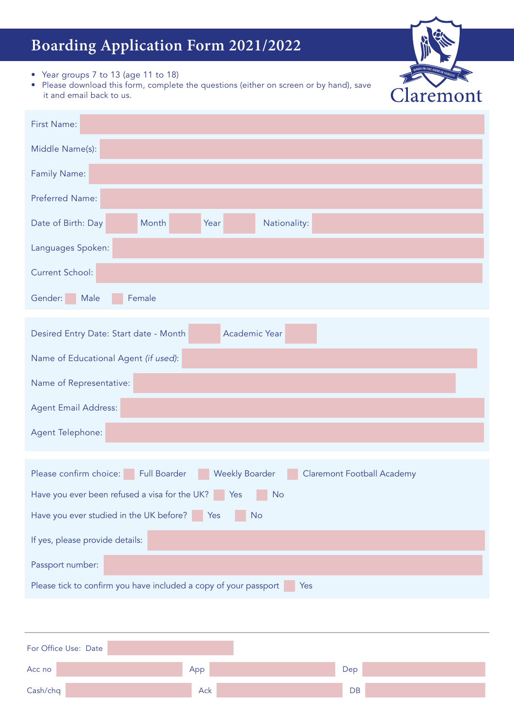# **Boarding Application Form 2021/2022**

Claremont

- Year groups 7 to 13 (age 11 to 18)
- Please download this form, complete the questions (either on screen or by hand), save it and email back to us.

| First Name:                                                                                                                                                                   |  |  |  |  |
|-------------------------------------------------------------------------------------------------------------------------------------------------------------------------------|--|--|--|--|
| Middle Name(s):                                                                                                                                                               |  |  |  |  |
| Family Name:                                                                                                                                                                  |  |  |  |  |
| Preferred Name:                                                                                                                                                               |  |  |  |  |
| Date of Birth: Day<br>Month<br>Nationality:<br>Year                                                                                                                           |  |  |  |  |
| Languages Spoken:                                                                                                                                                             |  |  |  |  |
| <b>Current School:</b>                                                                                                                                                        |  |  |  |  |
| Gender:<br>Male<br>Female                                                                                                                                                     |  |  |  |  |
| Academic Year<br>Desired Entry Date: Start date - Month                                                                                                                       |  |  |  |  |
| Name of Educational Agent (if used):                                                                                                                                          |  |  |  |  |
| Name of Representative:                                                                                                                                                       |  |  |  |  |
| <b>Agent Email Address:</b>                                                                                                                                                   |  |  |  |  |
| Agent Telephone:                                                                                                                                                              |  |  |  |  |
|                                                                                                                                                                               |  |  |  |  |
| Please confirm choice:<br><b>Weekly Boarder</b><br><b>Full Boarder</b><br><b>Claremont Football Academy</b><br>Have you ever been refused a visa for the UK? Yes<br><b>No</b> |  |  |  |  |
| Have you ever studied in the UK before?   Yes<br><b>No</b>                                                                                                                    |  |  |  |  |
| If yes, please provide details:                                                                                                                                               |  |  |  |  |
| Passport number:                                                                                                                                                              |  |  |  |  |
| Please tick to confirm you have included a copy of your passport<br>Yes                                                                                                       |  |  |  |  |
|                                                                                                                                                                               |  |  |  |  |
| For Office Use: Date                                                                                                                                                          |  |  |  |  |
| Acc no<br>App<br>Dep                                                                                                                                                          |  |  |  |  |

Cash/chq DB Cash/chq DB Cash Chq DB Cash Chq DB Cash Chq DB Cash Chq DB Cash Chq DB Cash Chq DB Chq DB Chq DB Chq DB Chq DB Chq DB Chq DB Chq DB Chq DB Chq DB Chq DB Chq DB Chq DB Chq DB Chq DB Chq DB Chq DB Chq DB Chq DB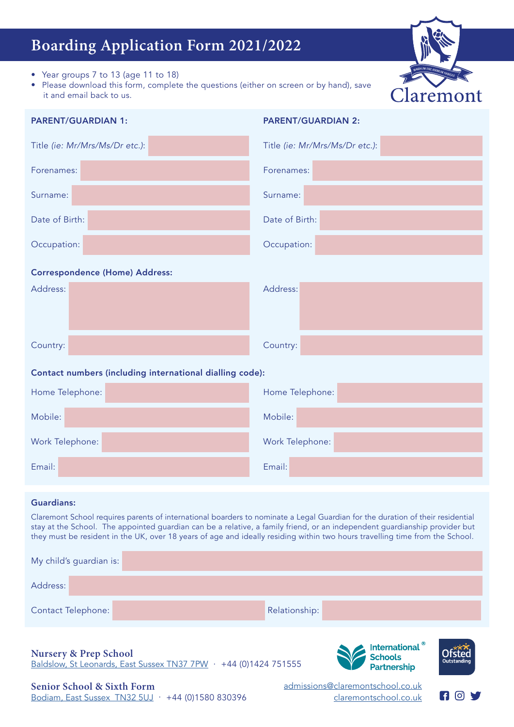## **Boarding Application Form 2021/2022**

- Year groups 7 to 13 (age 11 to 18)
- Please download this form, complete the questions (either on screen or by hand), save it and email back to us.



| <b>PARENT/GUARDIAN 1:</b>                                | <b>PARENT/GUARDIAN 2:</b>      |  |  |  |  |
|----------------------------------------------------------|--------------------------------|--|--|--|--|
| Title (ie: Mr/Mrs/Ms/Dr etc.):                           | Title (ie: Mr/Mrs/Ms/Dr etc.): |  |  |  |  |
| Forenames:                                               | Forenames:                     |  |  |  |  |
| Surname:                                                 | Surname:                       |  |  |  |  |
| Date of Birth:                                           | Date of Birth:                 |  |  |  |  |
| Occupation:                                              | Occupation:                    |  |  |  |  |
| <b>Correspondence (Home) Address:</b>                    |                                |  |  |  |  |
| Address:                                                 | Address:                       |  |  |  |  |
| Country:                                                 | Country:                       |  |  |  |  |
| Contact numbers (including international dialling code): |                                |  |  |  |  |
| Home Telephone:                                          | Home Telephone:                |  |  |  |  |
| Mobile:                                                  | Mobile:                        |  |  |  |  |
| Work Telephone:                                          | Work Telephone:                |  |  |  |  |
| Email:                                                   | Email:                         |  |  |  |  |

## Guardians:

Claremont School requires parents of international boarders to nominate a Legal Guardian for the duration of their residential stay at the School. The appointed guardian can be a relative, a family friend, or an independent guardianship provider but they must be resident in the UK, over 18 years of age and ideally residing within two hours travelling time from the School.

| My child's guardian is:                                                                                                                                                     |  |               |  |  |
|-----------------------------------------------------------------------------------------------------------------------------------------------------------------------------|--|---------------|--|--|
| Address:                                                                                                                                                                    |  |               |  |  |
| <b>Contact Telephone:</b>                                                                                                                                                   |  | Relationship: |  |  |
| International <sup>®</sup><br>Schools<br>Partnership<br><b>Nursery &amp; Prep School</b><br>Outstanding<br>Baldslow, St Leonards, East Sussex TN37 7PW · +44 (0)1424 751555 |  |               |  |  |

[admissions@claremontschool.co.uk](mailto:admissions%40claremontschool.co.uk%20?subject=admissions%40claremontschool.co.uk) claremontschool.co.uk

**69 80 97**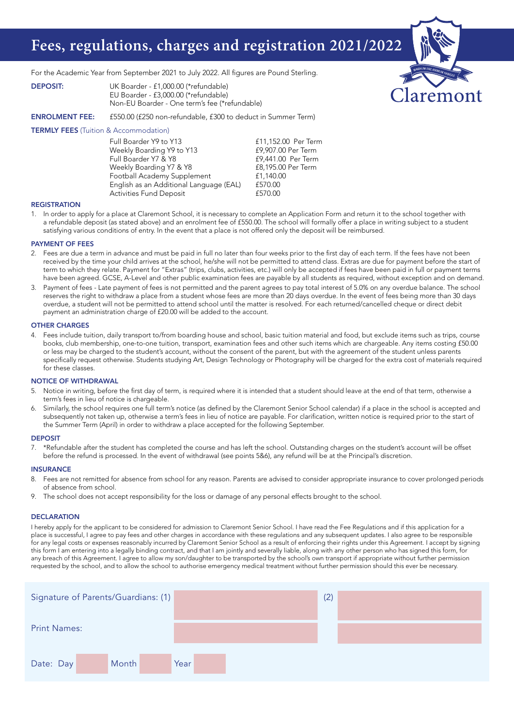## **Fees, regulations, charges and registration 2021/2022**

For the Academic Year from September 2021 to July 2022. All figures are Pound Sterling.

| <b>DEPOSIT:</b> | UK Boarder - £1,000.00 (*refundable)          |
|-----------------|-----------------------------------------------|
|                 | EU Boarder - £3,000.00 (*refundable)          |
|                 | Non-EU Boarder - One term's fee (*refundable) |

ENROLMENT FEE: £550.00 (£250 non-refundable, £300 to deduct in Summer Term)

#### **TERMLY FEES** (Tuition & Accommodation)

| £11,152.00 Per Terr |
|---------------------|
| £9,907.00 Per Term  |
| £9,441.00 Per Term  |
| £8,195.00 Per Term  |
| £1,140.00           |
| £570.00             |
| £570.00             |
|                     |

#### **REGISTRATION**

1. In order to apply for a place at Claremont School, it is necessary to complete an Application Form and return it to the school together with a refundable deposit (as stated above) and an enrolment fee of £550.00. The school will formally offer a place in writing subject to a student satisfying various conditions of entry. In the event that a place is not offered only the deposit will be reimbursed.

Per Term

remont

#### PAYMENT OF FEES

- 2. Fees are due a term in advance and must be paid in full no later than four weeks prior to the first day of each term. If the fees have not been received by the time your child arrives at the school, he/she will not be permitted to attend class. Extras are due for payment before the start of term to which they relate. Payment for "Extras" (trips, clubs, activities, etc.) will only be accepted if fees have been paid in full or payment terms have been agreed. GCSE, A-Level and other public examination fees are payable by all students as required, without exception and on demand.
- 3. Payment of fees Late payment of fees is not permitted and the parent agrees to pay total interest of 5.0% on any overdue balance. The school reserves the right to withdraw a place from a student whose fees are more than 20 days overdue. In the event of fees being more than 30 days overdue, a student will not be permitted to attend school until the matter is resolved. For each returned/cancelled cheque or direct debit payment an administration charge of £20.00 will be added to the account.

#### OTHER CHARGES

4. Fees include tuition, daily transport to/from boarding house and school, basic tuition material and food, but exclude items such as trips, course books, club membership, one-to-one tuition, transport, examination fees and other such items which are chargeable. Any items costing £50.00 or less may be charged to the student's account, without the consent of the parent, but with the agreement of the student unless parents specifically request otherwise. Students studying Art, Design Technology or Photography will be charged for the extra cost of materials required for these classes.

#### NOTICE OF WITHDRAWAL

- 5. Notice in writing, before the first day of term, is required where it is intended that a student should leave at the end of that term, otherwise a term's fees in lieu of notice is chargeable.
- Similarly, the school requires one full term's notice (as defined by the Claremont Senior School calendar) if a place in the school is accepted and subsequently not taken up, otherwise a term's fees in lieu of notice are payable. For clarification, written notice is required prior to the start of the Summer Term (April) in order to withdraw a place accepted for the following September.

#### DEPOSIT

7. \*Refundable after the student has completed the course and has left the school. Outstanding charges on the student's account will be offset before the refund is processed. In the event of withdrawal (see points 5&6), any refund will be at the Principal's discretion.

#### **INSURANCE**

- 8. Fees are not remitted for absence from school for any reason. Parents are advised to consider appropriate insurance to cover prolonged periods of absence from school.
- 9. The school does not accept responsibility for the loss or damage of any personal effects brought to the school.

#### **DECLARATION**

I hereby apply for the applicant to be considered for admission to Claremont Senior School. I have read the Fee Regulations and if this application for a place is successful, I agree to pay fees and other charges in accordance with these regulations and any subsequent updates. I also agree to be responsible for any legal costs or expenses reasonably incurred by Claremont Senior School as a result of enforcing their rights under this Agreement. I accept by signing this form I am entering into a legally binding contract, and that I am jointly and severally liable, along with any other person who has signed this form, for any breach of this Agreement. I agree to allow my son/daughter to be transported by the school's own transport if appropriate without further permission requested by the school, and to allow the school to authorise emergency medical treatment without further permission should this ever be necessary.

| Signature of Parents/Guardians: (1) |       |      |  |  | (2) |  |
|-------------------------------------|-------|------|--|--|-----|--|
| <b>Print Names:</b>                 |       |      |  |  |     |  |
| Date: Day                           | Month | Year |  |  |     |  |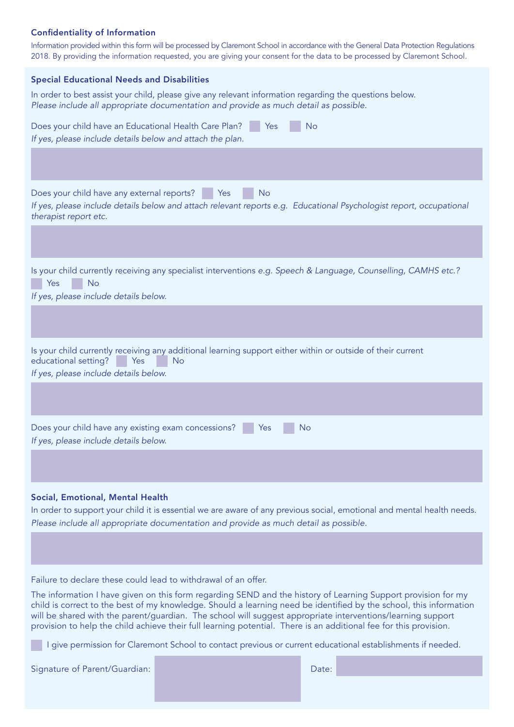## Confidentiality of Information

Information provided within this form will be processed by Claremont School in accordance with the General Data Protection Regulations 2018. By providing the information requested, you are giving your consent for the data to be processed by Claremont School.

| <b>Special Educational Needs and Disabilities</b>                                                                                                                                                                                                  |
|----------------------------------------------------------------------------------------------------------------------------------------------------------------------------------------------------------------------------------------------------|
| In order to best assist your child, please give any relevant information regarding the questions below.<br>Please include all appropriate documentation and provide as much detail as possible.                                                    |
| Does your child have an Educational Health Care Plan?<br><b>No</b><br>Yes<br>If yes, please include details below and attach the plan.                                                                                                             |
|                                                                                                                                                                                                                                                    |
| Does your child have any external reports?<br><b>No</b><br>Yes<br>If yes, please include details below and attach relevant reports e.g. Educational Psychologist report, occupational<br>therapist report etc.                                     |
|                                                                                                                                                                                                                                                    |
| Is your child currently receiving any specialist interventions e.g. Speech & Language, Counselling, CAMHS etc.?<br><b>No</b><br>Yes<br>If yes, please include details below.                                                                       |
|                                                                                                                                                                                                                                                    |
| Is your child currently receiving any additional learning support either within or outside of their current<br>educational setting?<br>Yes<br>No<br>If yes, please include details below.                                                          |
|                                                                                                                                                                                                                                                    |
| Does your child have any existing exam concessions?<br>No<br>Yes<br>If yes, please include details below.                                                                                                                                          |
|                                                                                                                                                                                                                                                    |
| Social, Emotional, Mental Health<br>In order to support your child it is essential we are aware of any previous social, emotional and mental health needs.<br>Please include all appropriate documentation and provide as much detail as possible. |

Failure to declare these could lead to withdrawal of an offer.

The information I have given on this form regarding SEND and the history of Learning Support provision for my child is correct to the best of my knowledge. Should a learning need be identified by the school, this information will be shared with the parent/guardian. The school will suggest appropriate interventions/learning support provision to help the child achieve their full learning potential. There is an additional fee for this provision.

I give permission for Claremont School to contact previous or current educational establishments if needed.

Signature of Parent/Guardian: Date: Date: Date: Date: